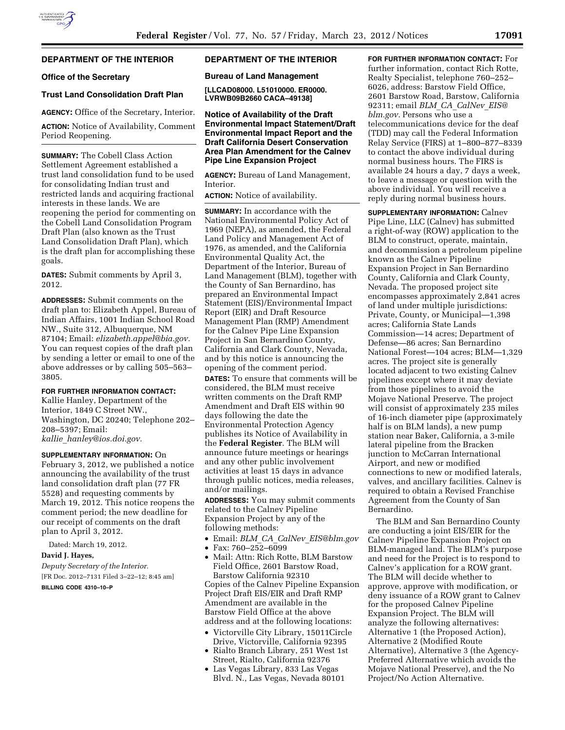## **DEPARTMENT OF THE INTERIOR**

## **Office of the Secretary**

## **Trust Land Consolidation Draft Plan**

**AGENCY:** Office of the Secretary, Interior.

**ACTION:** Notice of Availability, Comment Period Reopening.

**SUMMARY:** The Cobell Class Action Settlement Agreement established a trust land consolidation fund to be used for consolidating Indian trust and restricted lands and acquiring fractional interests in these lands. We are reopening the period for commenting on the Cobell Land Consolidation Program Draft Plan (also known as the Trust Land Consolidation Draft Plan), which is the draft plan for accomplishing these goals.

**DATES:** Submit comments by April 3, 2012.

**ADDRESSES:** Submit comments on the draft plan to: Elizabeth Appel, Bureau of Indian Affairs, 1001 Indian School Road NW., Suite 312, Albuquerque, NM 87104; Email: *[elizabeth.appel@bia.gov.](mailto:elizabeth.appel@bia.gov)*  You can request copies of the draft plan by sending a letter or email to one of the above addresses or by calling 505–563– 3805.

#### **FOR FURTHER INFORMATION CONTACT:**

Kallie Hanley, Department of the Interior, 1849 C Street NW., Washington, DC 20240; Telephone 202– 208–5397; Email: *kallie*\_*[hanley@ios.doi.gov.](mailto:kallie_hanley@ios.doi.gov)* 

## **SUPPLEMENTARY INFORMATION:** On

February 3, 2012, we published a notice announcing the availability of the trust land consolidation draft plan (77 FR 5528) and requesting comments by March 19, 2012. This notice reopens the comment period; the new deadline for our receipt of comments on the draft plan to April 3, 2012.

Dated: March 19, 2012.

## **David J. Hayes,**

*Deputy Secretary of the Interior.*  [FR Doc. 2012–7131 Filed 3–22–12; 8:45 am]

**BILLING CODE 4310–10–P** 

# **DEPARTMENT OF THE INTERIOR**

## **Bureau of Land Management**

**[LLCAD08000. L51010000. ER0000. LVRWB09B2660 CACA–49138]** 

**Notice of Availability of the Draft Environmental Impact Statement/Draft Environmental Impact Report and the Draft California Desert Conservation Area Plan Amendment for the Calnev Pipe Line Expansion Project** 

**AGENCY:** Bureau of Land Management, Interior.

**ACTION:** Notice of availability.

**SUMMARY:** In accordance with the National Environmental Policy Act of 1969 (NEPA), as amended, the Federal Land Policy and Management Act of 1976, as amended, and the California Environmental Quality Act, the Department of the Interior, Bureau of Land Management (BLM), together with the County of San Bernardino, has prepared an Environmental Impact Statement (EIS)/Environmental Impact Report (EIR) and Draft Resource Management Plan (RMP) Amendment for the Calnev Pipe Line Expansion Project in San Bernardino County, California and Clark County, Nevada, and by this notice is announcing the opening of the comment period.

**DATES:** To ensure that comments will be considered, the BLM must receive written comments on the Draft RMP Amendment and Draft EIS within 90 days following the date the Environmental Protection Agency publishes its Notice of Availability in the **Federal Register**. The BLM will announce future meetings or hearings and any other public involvement activities at least 15 days in advance through public notices, media releases, and/or mailings.

**ADDRESSES:** You may submit comments related to the Calnev Pipeline Expansion Project by any of the following methods:

- Email: *BLM*\_*CA*\_*CalNev*\_*[EIS@blm.gov](mailto:BLM_CA_CalNev_EIS@blm.gov)*
- Fax:  $760 252 6099$
- Mail: Attn: Rich Rotte, BLM Barstow Field Office, 2601 Barstow Road, Barstow California 92310 Copies of the Calnev Pipeline Expansion Project Draft EIS/EIR and Draft RMP Amendment are available in the Barstow Field Office at the above address and at the following locations:
- Victorville City Library, 15011Circle Drive, Victorville, California 92395
- Rialto Branch Library, 251 West 1st Street, Rialto, California 92376
- Las Vegas Library, 833 Las Vegas Blvd. N., Las Vegas, Nevada 80101

**FOR FURTHER INFORMATION CONTACT:** For further information, contact Rich Rotte, Realty Specialist, telephone 760–252– 6026, address: Barstow Field Office, 2601 Barstow Road, Barstow, California 92311; email *BLM*\_*CA*\_*[CalNev](mailto:BLM_CA_CalNev_EIS@blm.gov)*\_*EIS@ [blm.gov.](mailto:BLM_CA_CalNev_EIS@blm.gov)* Persons who use a telecommunications device for the deaf (TDD) may call the Federal Information Relay Service (FIRS) at 1–800–877–8339 to contact the above individual during normal business hours. The FIRS is available 24 hours a day, 7 days a week, to leave a message or question with the above individual. You will receive a reply during normal business hours.

**SUPPLEMENTARY INFORMATION:** Calnev Pipe Line, LLC (Calnev) has submitted a right-of-way (ROW) application to the BLM to construct, operate, maintain, and decommission a petroleum pipeline known as the Calnev Pipeline Expansion Project in San Bernardino County, California and Clark County, Nevada. The proposed project site encompasses approximately 2,841 acres of land under multiple jurisdictions: Private, County, or Municipal—1,398 acres; California State Lands Commission—14 acres; Department of Defense—86 acres; San Bernardino National Forest—104 acres; BLM—1,329 acres. The project site is generally located adjacent to two existing Calnev pipelines except where it may deviate from those pipelines to avoid the Mojave National Preserve. The project will consist of approximately 235 miles of 16-inch diameter pipe (approximately half is on BLM lands), a new pump station near Baker, California, a 3-mile lateral pipeline from the Bracken junction to McCarran International Airport, and new or modified connections to new or modified laterals, valves, and ancillary facilities. Calnev is required to obtain a Revised Franchise Agreement from the County of San Bernardino.

The BLM and San Bernardino County are conducting a joint EIS/EIR for the Calnev Pipeline Expansion Project on BLM-managed land. The BLM's purpose and need for the Project is to respond to Calnev's application for a ROW grant. The BLM will decide whether to approve, approve with modification, or deny issuance of a ROW grant to Calnev for the proposed Calnev Pipeline Expansion Project. The BLM will analyze the following alternatives: Alternative 1 (the Proposed Action), Alternative 2 (Modified Route Alternative), Alternative 3 (the Agency-Preferred Alternative which avoids the Mojave National Preserve), and the No Project/No Action Alternative.